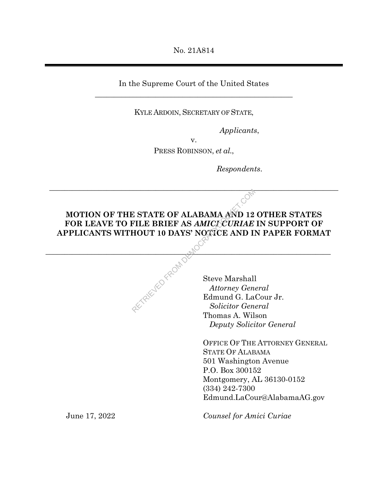No. 21A814

In the Supreme Court of the United States \_\_\_\_\_\_\_\_\_\_\_\_\_\_\_\_\_\_\_\_\_\_\_\_\_\_\_\_\_\_\_\_\_\_\_\_\_\_\_\_\_\_\_\_\_\_\_\_\_\_\_\_

KYLE ARDOIN, SECRETARY OF STATE,

*Applicants*,

v.

PRESS ROBINSON, *et al.*,

*Respondents*.

# **MOTION OF THE STATE OF ALABAMA AND 12 OTHER STATES FOR LEAVE TO FILE BRIEF AS** *AMICI CURIAE* **IN SUPPORT OF APPLICANTS WITHOUT 10 DAYS' NOTICE AND IN PAPER FORMAT**  E STATE OF ALABAMA AND 12<br>
FILE BRIEF AS AMICLEURIAE<br>
HOUT 10 DAYS' NOTICE AND II<br>
Steve Marshall<br>
Attorney General<br>
Edmund G. La

 $\mathcal{N}$ 

 $\_$ 

Steve Marshall *Attorney General*  Edmund G. LaCour Jr. *Solicitor General*  Thomas A. Wilson *Deputy Solicitor General* 

OFFICE OF THE ATTORNEY GENERAL STATE OF ALABAMA 501 Washington Avenue P.O. Box 300152 Montgomery, AL 36130-0152 (334) 242-7300 Edmund.LaCour@AlabamaAG.gov

June 17, 2022

*Counsel for Amici Curiae*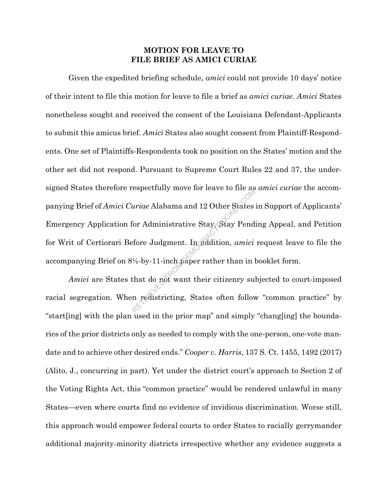## **MOTION FOR LEAVE TO FILE BRIEF AS AMICI CURIAE**

Given the expedited briefing schedule, *amici* could not provide 10 days' notice of their intent to file this motion for leave to file a brief as *amici curiae*. *Amici* States nonetheless sought and received the consent of the Louisiana Defendant-Applicants to submit this amicus brief. *Amici* States also sought consent from Plaintiff-Respondents. One set of Plaintiffs-Respondents took no position on the States' motion and the other set did not respond. Pursuant to Supreme Court Rules 22 and 37, the undersigned States therefore respectfully move for leave to file as *amici curiae* the accompanying Brief of *Amici Curiae* Alabama and 12 Other States in Support of Applicants' Emergency Application for Administrative Stay, Stay Pending Appeal, and Petition for Writ of Certiorari Before Judgment. In addition, *amici* request leave to file the accompanying Brief on 8½-by-11-inch paper rather than in booklet form. ariae Alabama and 12 Other States<br>for Administrative Stay, Stay Pend<br>fore Judgment. In addition, amici<br><sup>1</sup>/2-by-11-inch paper rather than in l<br>that do not want their citizenry su<br>n redistricting, States often follow

*Amici* are States that do not want their citizenry subjected to court-imposed racial segregation. When redistricting, States often follow "common practice" by "start[ing] with the plan used in the prior map" and simply "chang[ing] the boundaries of the prior districts only as needed to comply with the one-person, one-vote mandate and to achieve other desired ends." *Cooper v. Harris*, 137 S. Ct. 1455, 1492 (2017) (Alito, J., concurring in part). Yet under the district court's approach to Section 2 of the Voting Rights Act, this "common practice" would be rendered unlawful in many States—even where courts find no evidence of invidious discrimination. Worse still, this approach would empower federal courts to order States to racially gerrymander additional majority-minority districts irrespective whether any evidence suggests a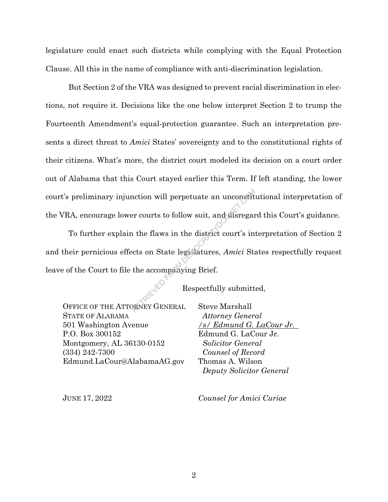legislature could enact such districts while complying with the Equal Protection Clause. All this in the name of compliance with anti-discrimination legislation.

But Section 2 of the VRA was designed to prevent racial discrimination in elections, not require it. Decisions like the one below interpret Section 2 to trump the Fourteenth Amendment's equal-protection guarantee. Such an interpretation presents a direct threat to *Amici* States' sovereignty and to the constitutional rights of their citizens. What's more, the district court modeled its decision on a court order out of Alabama that this Court stayed earlier this Term. If left standing, the lower court's preliminary injunction will perpetuate an unconstitutional interpretation of the VRA, encourage lower courts to follow suit, and disregard this Court's guidance.

To further explain the flaws in the district court's interpretation of Section 2 and their pernicious effects on State legislatures, *Amici* States respectfully request leave of the Court to file the accompanying Brief. ntion will perpetuate an unconstituted are unconstanted that the flaws in the district court's in the flaws in the district court's in the accompanying Brief.<br>Respectfully submitt Respectfully submitt RENERAL Steve Marshal

Respectfully submitted,

OFFICE OF THE ATTORNEY GENERAL STATE OF ALABAMA 501 Washington Avenue P.O. Box 300152 Montgomery, AL 36130-0152 (334) 242-7300 Edmund.LaCour@AlabamaAG.gov

Steve Marshall *Attorney General /s/ Edmund G. LaCour Jr.*  Edmund G. LaCour Jr. *Solicitor General Counsel of Record*  Thomas A. Wilson *Deputy Solicitor General*

JUNE 17, 2022

*Counsel for Amici Curiae*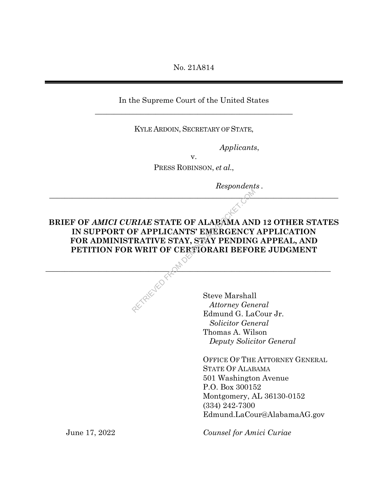No. 21A814

In the Supreme Court of the United States \_\_\_\_\_\_\_\_\_\_\_\_\_\_\_\_\_\_\_\_\_\_\_\_\_\_\_\_\_\_\_\_\_\_\_\_\_\_\_\_\_\_\_\_\_\_\_\_\_\_\_\_

KYLE ARDOIN, SECRETARY OF STATE,

*Applicants*,

v. PRESS ROBINSON, *et al.*,

 $\circ^\mathcal{N}$ 

*Respondents .*

**BRIEF OF** *AMICI CURIAE* **STATE OF ALABAMA AND 12 OTHER STATES IN SUPPORT OF APPLICANTS' EMERGENCY APPLICATION FOR ADMINISTRATIVE STAY, STAY PENDING APPEAL, AND PETITION FOR WRIT OF CERTIORARI BEFORE JUDGMENT**  RIAE STATE OF ALABAMA AND<br>
F APPLICANTS' EMERGENCY<br>
TRATIVE STAY, STAY PENDING<br>
WRIT OF CERTIORARI BEFORE<br>
Steve Marshall<br>
Attorney Gen

 $\mathcal{O}_{\mathcal{U}_1}$  and the set of the set of  $\mathcal{O}_{\mathcal{U}_2}$  and  $\mathcal{O}_{\mathcal{U}_1}$  and  $\mathcal{O}_{\mathcal{U}_2}$  and  $\mathcal{O}_{\mathcal{U}_2}$  and  $\mathcal{O}_{\mathcal{U}_1}$  and  $\mathcal{O}_{\mathcal{U}_2}$  and  $\mathcal{O}_{\mathcal{U}_2}$  and  $\mathcal{O}_{\mathcal{U}_1}$  and  $\mathcal{O}_{\mathcal$ 

Steve Marshall *Attorney General*  Edmund G. LaCour Jr. *Solicitor General*  Thomas A. Wilson *Deputy Solicitor General* 

OFFICE OF THE ATTORNEY GENERAL STATE OF ALABAMA 501 Washington Avenue P.O. Box 300152 Montgomery, AL 36130-0152 (334) 242-7300 Edmund.LaCour@AlabamaAG.gov

*Counsel for Amici Curiae* 

June 17, 2022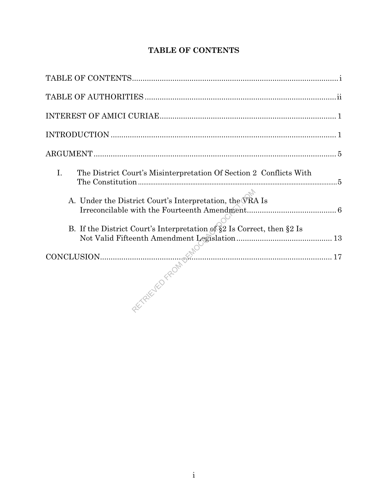| $\mathbf{I}$ .<br>The District Court's Misinterpretation Of Section 2 Conflicts With |
|--------------------------------------------------------------------------------------|
| A. Under the District Court's Interpretation, the VRA Is                             |
| B. If the District Court's Interpretation of §2 Is Correct, then §2 Is               |
|                                                                                      |
|                                                                                      |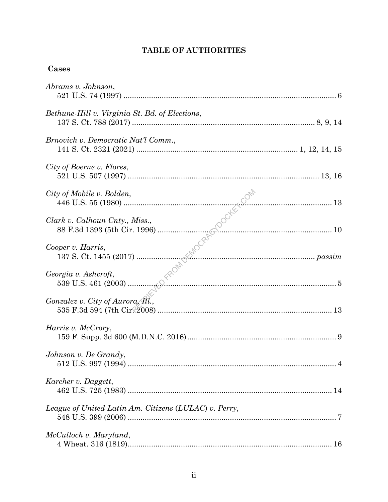# **TABLE OF AUTHORITIES**

# Cases

| Abrams v. Johnson,                                    |  |
|-------------------------------------------------------|--|
| Bethune-Hill v. Virginia St. Bd. of Elections,        |  |
| Brnovich v. Democratic Nat'l Comm.,                   |  |
| City of Boerne v. Flores,                             |  |
|                                                       |  |
|                                                       |  |
|                                                       |  |
|                                                       |  |
| Gonzalez v. City of Aurora, $\mathcal{M}$ .           |  |
| Harris v. McCrory,                                    |  |
| Johnson v. De Grandy,                                 |  |
| Karcher v. Daggett,                                   |  |
| League of United Latin Am. Citizens (LULAC) v. Perry, |  |
| McCulloch v. Maryland,                                |  |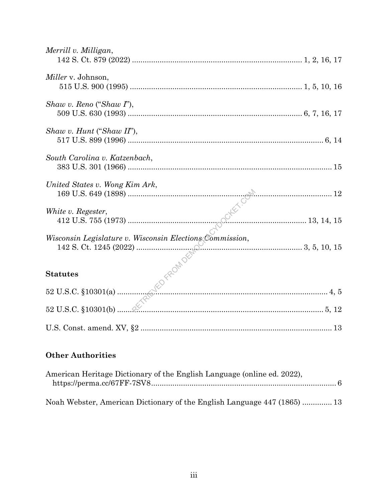| Merrill v. Milligan,                                     |
|----------------------------------------------------------|
| <i>Miller</i> v. Johnson,                                |
| Shaw v. Reno ("Shaw $I$ "),                              |
| Shaw v. Hunt ("Shaw II"),                                |
| South Carolina v. Katzenbach,                            |
| United States v. Wong Kim Ark,<br>$\sim$ 12              |
| White v. Regester,                                       |
| Wisconsin Legislature v. Wisconsin Elections Commission, |
|                                                          |
|                                                          |
|                                                          |
|                                                          |

# **Other Authorities**

| American Heritage Dictionary of the English Language (online ed. 2022),  |  |
|--------------------------------------------------------------------------|--|
| Noah Webster, American Dictionary of the English Language 447 (1865)  13 |  |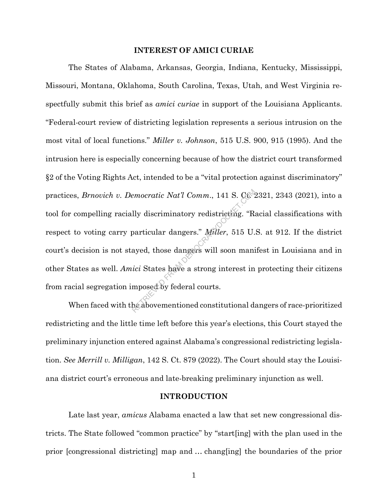#### **INTEREST OF AMICI CURIAE**

The States of Alabama, Arkansas, Georgia, Indiana, Kentucky, Mississippi, Missouri, Montana, Oklahoma, South Carolina, Texas, Utah, and West Virginia respectfully submit this brief as *amici curiae* in support of the Louisiana Applicants. "Federal-court review of districting legislation represents a serious intrusion on the most vital of local functions." *Miller v. Johnson*, 515 U.S. 900, 915 (1995). And the intrusion here is especially concerning because of how the district court transformed §2 of the Voting Rights Act, intended to be a "vital protection against discriminatory" practices, *Brnovich v. Democratic Nat'l Comm.*, 141 S. Ct. 2321, 2343 (2021), into a tool for compelling racially discriminatory redistricting. "Racial classifications with respect to voting carry particular dangers." *Miller*, 515 U.S. at 912. If the district court's decision is not stayed, those dangers will soon manifest in Louisiana and in other States as well. *Amici* States have a strong interest in protecting their citizens from racial segregation imposed by federal courts. emocratic Nat'l Comm., 141 S. Ct.<br>
Ily discriminatory redistricting. "R.<br>
particular dangers." Miller, 515 U.<br>
ayed, those dangers will soon mani<br>
ici States have a strong interest in<br>
mposed by federal courts.<br>
he aboveme

When faced with the abovementioned constitutional dangers of race-prioritized redistricting and the little time left before this year's elections, this Court stayed the preliminary injunction entered against Alabama's congressional redistricting legislation. *See Merrill v. Milligan*, 142 S. Ct. 879 (2022). The Court should stay the Louisiana district court's erroneous and late-breaking preliminary injunction as well.

#### **INTRODUCTION**

Late last year, *amicus* Alabama enacted a law that set new congressional districts. The State followed "common practice" by "start[ing] with the plan used in the prior [congressional districting] map and … chang[ing] the boundaries of the prior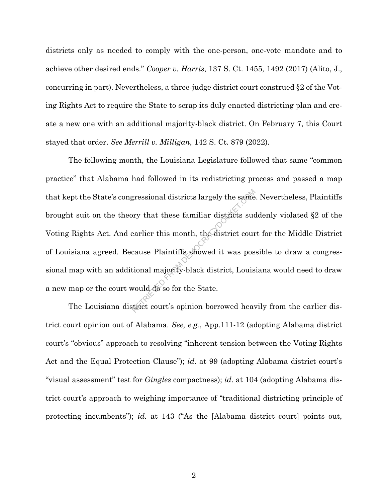districts only as needed to comply with the one-person, one-vote mandate and to achieve other desired ends." *Cooper v. Harris*, 137 S. Ct. 1455, 1492 (2017) (Alito, J., concurring in part). Nevertheless, a three-judge district court construed §2 of the Voting Rights Act to require the State to scrap its duly enacted districting plan and create a new one with an additional majority-black district. On February 7, this Court stayed that order. *See Merrill v. Milligan*, 142 S. Ct. 879 (2022).

The following month, the Louisiana Legislature followed that same "common practice" that Alabama had followed in its redistricting process and passed a map that kept the State's congressional districts largely the same. Nevertheless, Plaintiffs brought suit on the theory that these familiar districts suddenly violated §2 of the Voting Rights Act. And earlier this month, the district court for the Middle District of Louisiana agreed. Because Plaintiffs showed it was possible to draw a congressional map with an additional majority-black district, Louisiana would need to draw a new map or the court would do so for the State. gressional districts largely the same<br>bry that these familiar districts suce<br>earlier this month, the district cour<br>cause Plaintiffs showed it was pos<br>tional majority-black district, Louis<br>would do so for the State.<br>trict c

The Louisiana district court's opinion borrowed heavily from the earlier district court opinion out of Alabama. *See, e.g.*, App.111-12 (adopting Alabama district court's "obvious" approach to resolving "inherent tension between the Voting Rights Act and the Equal Protection Clause"); *id.* at 99 (adopting Alabama district court's "visual assessment" test for *Gingles* compactness); *id.* at 104 (adopting Alabama district court's approach to weighing importance of "traditional districting principle of protecting incumbents"); *id.* at 143 ("As the [Alabama district court] points out,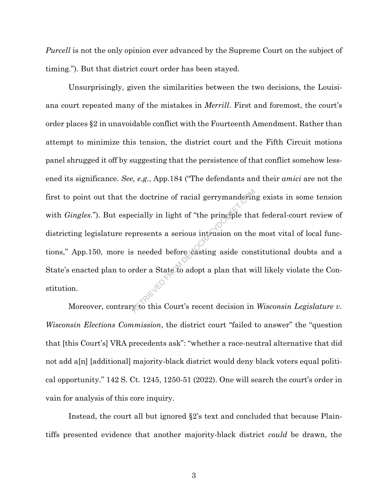*Purcell* is not the only opinion ever advanced by the Supreme Court on the subject of timing."). But that district court order has been stayed.

Unsurprisingly, given the similarities between the two decisions, the Louisiana court repeated many of the mistakes in *Merrill*. First and foremost, the court's order places §2 in unavoidable conflict with the Fourteenth Amendment. Rather than attempt to minimize this tension, the district court and the Fifth Circuit motions panel shrugged it off by suggesting that the persistence of that conflict somehow lessened its significance. *See, e.g.*, App.184 ("The defendants and their *amici* are not the first to point out that the doctrine of racial gerrymandering exists in some tension with *Gingles*."). But especially in light of "the principle that federal-court review of districting legislature represents a serious intrusion on the most vital of local functions," App.150, more is needed before casting aside constitutional doubts and a State's enacted plan to order a State to adopt a plan that will likely violate the Constitution. Recially in light of "the principle that<br>presents a serious intrusion on the<br>s needed before casting aside cons<br>rder a State to adopt a plan that with<br>this Court's recent decision in

Moreover, contrary to this Court's recent decision in *Wisconsin Legislature v*. *Wisconsin Elections Commission*, the district court "failed to answer" the "question that [this Court's] VRA precedents ask": "whether a race-neutral alternative that did not add a[n] [additional] majority-black district would deny black voters equal political opportunity." 142 S. Ct. 1245, 1250-51 (2022). One will search the court's order in vain for analysis of this core inquiry.

Instead, the court all but ignored §2's text and concluded that because Plaintiffs presented evidence that another majority-black district *could* be drawn, the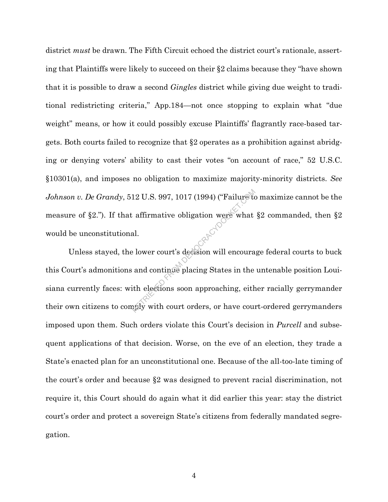district *must* be drawn. The Fifth Circuit echoed the district court's rationale, asserting that Plaintiffs were likely to succeed on their §2 claims because they "have shown that it is possible to draw a second *Gingles* district while giving due weight to traditional redistricting criteria," App.184—not once stopping to explain what "due weight" means, or how it could possibly excuse Plaintiffs' flagrantly race-based targets. Both courts failed to recognize that §2 operates as a prohibition against abridging or denying voters' ability to cast their votes "on account of race," 52 U.S.C. §10301(a), and imposes no obligation to maximize majority-minority districts. *See Johnson v. De Grandy*, 512 U.S. 997, 1017 (1994) ("Failure to maximize cannot be the measure of §2."). If that affirmative obligation were what §2 commanded, then §2 would be unconstitutional.

Unless stayed, the lower court's decision will encourage federal courts to buck this Court's admonitions and continue placing States in the untenable position Louisiana currently faces: with elections soon approaching, either racially gerrymander their own citizens to comply with court orders, or have court-ordered gerrymanders imposed upon them. Such orders violate this Court's decision in *Purcell* and subsequent applications of that decision. Worse, on the eve of an election, they trade a State's enacted plan for an unconstitutional one. Because of the all-too-late timing of the court's order and because §2 was designed to prevent racial discrimination, not require it, this Court should do again what it did earlier this year: stay the district court's order and protect a sovereign State's citizens from federally mandated segregation. 12 U.S. 997, 1017 (1994) ("Failure to<br>affirmative obligation were what<br>al.<br>belower court's decision will encoura<br>and continue placing States in the<br>ith elections soon approaching, eith<br>aply with court orders, or have cour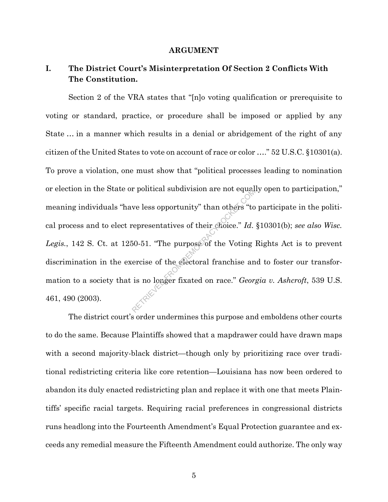#### **ARGUMENT**

# **I. The District Court's Misinterpretation Of Section 2 Conflicts With The Constitution.**

Section 2 of the VRA states that "[n]o voting qualification or prerequisite to voting or standard, practice, or procedure shall be imposed or applied by any State … in a manner which results in a denial or abridgement of the right of any citizen of the United States to vote on account of race or color …." 52 U.S.C. §10301(a). To prove a violation, one must show that "political processes leading to nomination or election in the State or political subdivision are not equally open to participation," meaning individuals "have less opportunity" than others "to participate in the political process and to elect representatives of their choice." *Id*. §10301(b); *see also Wisc.*  Legis., 142 S. Ct. at 1250-51. "The purpose of the Voting Rights Act is to prevent discrimination in the exercise of the electoral franchise and to foster our transformation to a society that is no longer fixated on race." *Georgia v. Ashcroft*, 539 U.S. 461, 490 (2003). Experimentatives of their choice." Id.<br>So-51. "The purpose of the Voting lergies of the electoral franchise and is no longer fixated on race." George

The district court's order undermines this purpose and emboldens other courts to do the same. Because Plaintiffs showed that a mapdrawer could have drawn maps with a second majority-black district—though only by prioritizing race over traditional redistricting criteria like core retention—Louisiana has now been ordered to abandon its duly enacted redistricting plan and replace it with one that meets Plaintiffs' specific racial targets. Requiring racial preferences in congressional districts runs headlong into the Fourteenth Amendment's Equal Protection guarantee and exceeds any remedial measure the Fifteenth Amendment could authorize. The only way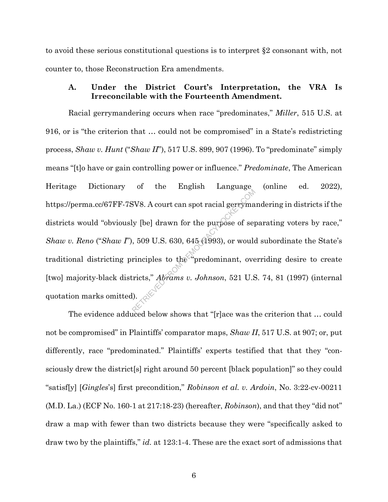to avoid these serious constitutional questions is to interpret §2 consonant with, not counter to, those Reconstruction Era amendments.

### **A. Under the District Court's Interpretation, the VRA Is Irreconcilable with the Fourteenth Amendment.**

Racial gerrymandering occurs when race "predominates," *Miller*, 515 U.S. at 916, or is "the criterion that … could not be compromised" in a State's redistricting process, *Shaw v. Hunt* ("*Shaw II*"), 517 U.S. 899, 907 (1996). To "predominate" simply means "[t]o have or gain controlling power or influence." *Predominate*, The American Heritage Dictionary of the English Language (online ed. 2022), https://perma.cc/67FF-7SV8. A court can spot racial gerrymandering in districts if the districts would "obviously [be] drawn for the purpose of separating voters by race," *Shaw v. Reno* ("*Shaw I*"), 509 U.S. 630, 645 (1993), or would subordinate the State's traditional districting principles to the "predominant, overriding desire to create [two] majority-black districts," *Abrams v. Johnson*, 521 U.S. 74, 81 (1997) (internal quotation marks omitted). SV8. A court can spot racial gerryma<br>
ly [be] drawn for the purpose of seq<br>  $\frac{1}{2}$ , 509 U.S. 630, 645 (1993), or would<br>
rinciples to the "predominant, over<br>
ricts," Abrams v. Johnson, 521 U.S

The evidence adduced below shows that "[r]ace was the criterion that … could not be compromised" in Plaintiffs' comparator maps, *Shaw II*, 517 U.S. at 907; or, put differently, race "predominated." Plaintiffs' experts testified that that they "consciously drew the district[s] right around 50 percent [black population]" so they could "satisf[y] [*Gingles*'s] first precondition," *Robinson et al. v. Ardoin*, No. 3:22-cv-00211 (M.D. La.) (ECF No. 160-1 at 217:18-23) (hereafter, *Robinson*), and that they "did not" draw a map with fewer than two districts because they were "specifically asked to draw two by the plaintiffs," *id.* at 123:1-4. These are the exact sort of admissions that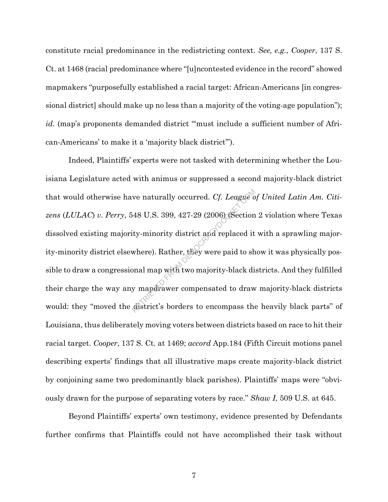constitute racial predominance in the redistricting context. *See, e.g.*, *Cooper*, 137 S. Ct. at 1468 (racial predominance where "[u]ncontested evidence in the record" showed mapmakers "purposefully established a racial target: African-Americans [in congressional district] should make up no less than a majority of the voting-age population"); id. (map's proponents demanded district "must include a sufficient number of African-Americans' to make it a 'majority black district'").

Indeed, Plaintiffs' experts were not tasked with determining whether the Louisiana Legislature acted with animus or suppressed a second majority-black district that would otherwise have naturally occurred. *Cf. League of United Latin Am. Citizens* (*LULAC*) *v. Perry*, 548 U.S. 399, 427-29 (2006) (Section 2 violation where Texas dissolved existing majority-minority district and replaced it with a sprawling majority-minority district elsewhere). Rather, they were paid to show it was physically possible to draw a congressional map with two majority-black districts. And they fulfilled their charge the way any mapdrawer compensated to draw majority-black districts would: they "moved the district's borders to encompass the heavily black parts" of Louisiana, thus deliberately moving voters between districts based on race to hit their racial target. *Cooper*, 137 S. Ct. at 1469; *accord* App.184 (Fifth Circuit motions panel describing experts' findings that all illustrative maps create majority-black district by conjoining same two predominantly black parishes). Plaintiffs' maps were "obviously drawn for the purpose of separating voters by race." *Shaw I*, 509 U.S. at 645. ve naturally occurred. Cf. League of<br>
48 U.S. 399, 427-29 (2006) (Section<br>
ity-minority district and replaced it<br>
where). Rather, they were paid to sh<br>
bonal map with two majority-black di<br>
y mapdrawer compensated to draw<br>

Beyond Plaintiffs' experts' own testimony, evidence presented by Defendants further confirms that Plaintiffs could not have accomplished their task without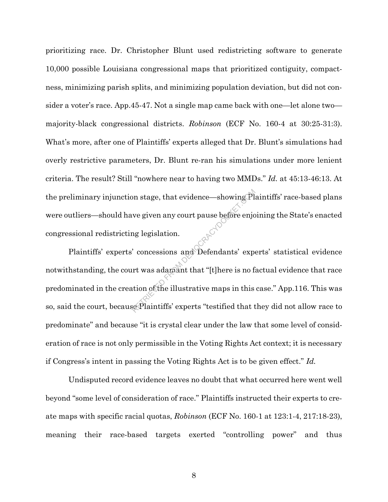prioritizing race. Dr. Christopher Blunt used redistricting software to generate 10,000 possible Louisiana congressional maps that prioritized contiguity, compactness, minimizing parish splits, and minimizing population deviation, but did not consider a voter's race. App.45-47. Not a single map came back with one—let alone two majority-black congressional districts. *Robinson* (ECF No. 160-4 at 30:25-31:3). What's more, after one of Plaintiffs' experts alleged that Dr. Blunt's simulations had overly restrictive parameters, Dr. Blunt re-ran his simulations under more lenient criteria. The result? Still "nowhere near to having two MMDs." *Id.* at 45:13-46:13. At the preliminary injunction stage, that evidence—showing Plaintiffs' race-based plans were outliers—should have given any court pause before enjoining the State's enacted congressional redistricting legislation.

Plaintiffs' experts' concessions and Defendants' experts' statistical evidence notwithstanding, the court was adamant that "[t]here is no factual evidence that race predominated in the creation of the illustrative maps in this case." App.116. This was so, said the court, because Plaintiffs' experts "testified that they did not allow race to predominate" and because "it is crystal clear under the law that some level of consideration of race is not only permissible in the Voting Rights Act context; it is necessary if Congress's intent in passing the Voting Rights Act is to be given effect." *Id.*  on stage, that evidence—showing Pl<br>
ve given any court pause before enjot<br>
and Defendants' expert<br>
concessions and Defendants' expert<br>
and Televian and Televian and Section<br>
that "[t]here is no fit<br>
ition of the illustrati

Undisputed record evidence leaves no doubt that what occurred here went well beyond "some level of consideration of race." Plaintiffs instructed their experts to create maps with specific racial quotas, *Robinson* (ECF No. 160-1 at 123:1-4, 217:18-23), meaning their race-based targets exerted "controlling power" and thus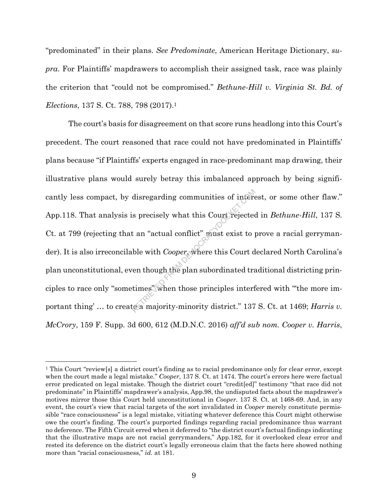"predominated" in their plans. *See Predominate*, American Heritage Dictionary, *supra*. For Plaintiffs' mapdrawers to accomplish their assigned task, race was plainly the criterion that "could not be compromised." *Bethune-Hill v. Virginia St. Bd. of Elections*, 137 S. Ct. 788, 798 (2017).<sup>1</sup>

The court's basis for disagreement on that score runs headlong into this Court's precedent. The court reasoned that race could not have predominated in Plaintiffs' plans because "if Plaintiffs' experts engaged in race-predominant map drawing, their illustrative plans would surely betray this imbalanced approach by being significantly less compact, by disregarding communities of interest, or some other flaw." App.118. That analysis is precisely what this Court rejected in *Bethune-Hill*, 137 S. Ct. at 799 (rejecting that an "actual conflict" must exist to prove a racial gerrymander). It is also irreconcilable with *Cooper*, where this Court declared North Carolina's plan unconstitutional, even though the plan subordinated traditional districting principles to race only "sometimes" when those principles interfered with "'the more important thing' ... to create a majority-minority district." 137 S. Ct. at 1469; *Harris v. McCrory*, 159 F. Supp. 3d 600, 612 (M.D.N.C. 2016) *aff'd sub nom. Cooper v. Harris*, disregarding communities of interests of interests are precisely what this Court rejected<br>t an "actual conflict" must exist to p<br>ble with Cooper, where this Court d<br>en though the plan subordinated tratimes" when those prin

<sup>1</sup> This Court "review[s] a district court's finding as to racial predominance only for clear error, except when the court made a legal mistake." *Cooper*, 137 S. Ct. at 1474. The court's errors here were factual error predicated on legal mistake. Though the district court "credit[ed]" testimony "that race did not predominate" in Plaintiffs' mapdrawer's analysis, App.98, the undisputed facts about the mapdrawer's motives mirror those this Court held unconstitutional in *Cooper*. 137 S. Ct. at 1468-69. And, in any event, the court's view that racial targets of the sort invalidated in *Cooper* merely constitute permissible "race consciousness" is a legal mistake, vitiating whatever deference this Court might otherwise owe the court's finding. The court's purported findings regarding racial predominance thus warrant no deference. The Fifth Circuit erred when it deferred to "the district court's factual findings indicating that the illustrative maps are not racial gerrymanders," App.182, for it overlooked clear error and rested its deference on the district court's legally erroneous claim that the facts here showed nothing more than "racial consciousness," *id.* at 181.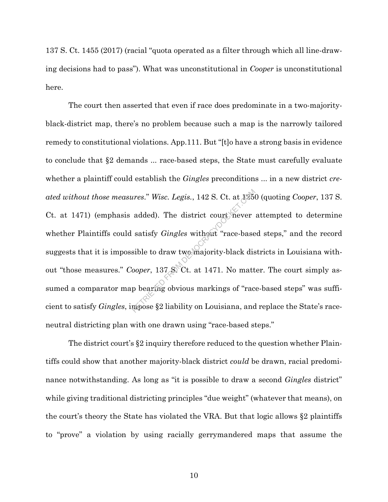137 S. Ct. 1455 (2017) (racial "quota operated as a filter through which all line-drawing decisions had to pass"). What was unconstitutional in *Cooper* is unconstitutional here.

The court then asserted that even if race does predominate in a two-majorityblack-district map, there's no problem because such a map is the narrowly tailored remedy to constitutional violations. App.111. But "[t]o have a strong basis in evidence to conclude that §2 demands ... race-based steps, the State must carefully evaluate whether a plaintiff could establish the *Gingles* preconditions ... in a new district *created without those measures.*" *Wisc. Legis.*, 142 S. Ct. at 1250 (quoting *Cooper*, 137 S. Ct. at 1471) (emphasis added). The district court mever attempted to determine whether Plaintiffs could satisfy *Gingles* without Ct. at 1471) (emphasis added). The district court never attempted to determine whether Plaintiffs could satisfy *Gingles* without "race-based steps," and the record suggests that it is impossible to draw two majority-black districts in Louisiana without "those measures." *Cooper*, 137 S. Ct. at 1471. No matter. The court simply assumed a comparator map bearing obvious markings of "race-based steps" was sufficient to satisfy *Gingles*, impose §2 liability on Louisiana, and replace the State's raceneutral districting plan with one drawn using "race-based steps."

The district court's §2 inquiry therefore reduced to the question whether Plaintiffs could show that another majority-black district *could* be drawn, racial predominance notwithstanding. As long as "it is possible to draw a second *Gingles* district" while giving traditional districting principles "due weight" (whatever that means), on the court's theory the State has violated the VRA. But that logic allows §2 plaintiffs to "prove" a violation by using racially gerrymandered maps that assume the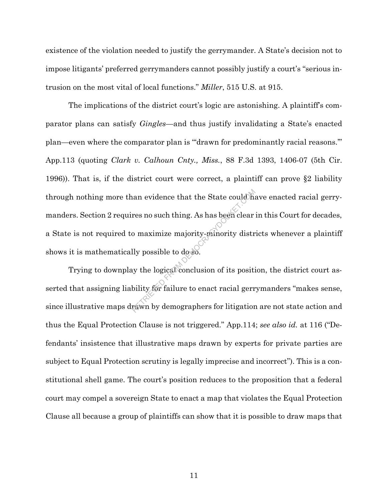existence of the violation needed to justify the gerrymander. A State's decision not to impose litigants' preferred gerrymanders cannot possibly justify a court's "serious intrusion on the most vital of local functions." *Miller*, 515 U.S. at 915.

The implications of the district court's logic are astonishing. A plaintiff's comparator plans can satisfy *Gingles*—and thus justify invalidating a State's enacted plan—even where the comparator plan is "'drawn for predominantly racial reasons.'" App.113 (quoting *Clark v. Calhoun Cnty., Miss.*, 88 F.3d 1393, 1406-07 (5th Cir. 1996)). That is, if the district court were correct, a plaintiff can prove §2 liability through nothing more than evidence that the State could have enacted racial gerrymanders. Section 2 requires no such thing. As has been clear in this Court for decades, a State is not required to maximize majority-minority districts whenever a plaintiff shows it is mathematically possible to do so. Example 12 and the State could have also<br>res no such thing. As has been clear<br>comaximize majority-minority distribuly<br>possible to dosso.<br>y the logical conclusion of its positi<br>bility for failure to enact racial german<br>resu

Trying to downplay the logical conclusion of its position, the district court asserted that assigning liability for failure to enact racial gerrymanders "makes sense, since illustrative maps drawn by demographers for litigation are not state action and thus the Equal Protection Clause is not triggered." App.114; *see also id.* at 116 ("Defendants' insistence that illustrative maps drawn by experts for private parties are subject to Equal Protection scrutiny is legally imprecise and incorrect"). This is a constitutional shell game. The court's position reduces to the proposition that a federal court may compel a sovereign State to enact a map that violates the Equal Protection Clause all because a group of plaintiffs can show that it is possible to draw maps that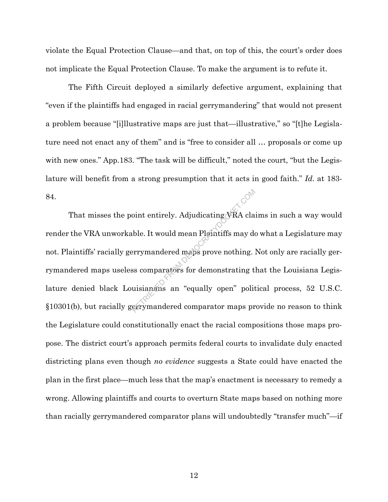violate the Equal Protection Clause—and that, on top of this, the court's order does not implicate the Equal Protection Clause. To make the argument is to refute it.

The Fifth Circuit deployed a similarly defective argument, explaining that "even if the plaintiffs had engaged in racial gerrymandering" that would not present a problem because "[i]llustrative maps are just that—illustrative," so "[t]he Legislature need not enact any of them" and is "free to consider all … proposals or come up with new ones." App.183. "The task will be difficult," noted the court, "but the Legislature will benefit from a strong presumption that it acts in good faith." *Id.* at 183- 84.

That misses the point entirely. Adjudicating VRA claims in such a way would render the VRA unworkable. It would mean Plaintiffs may do what a Legislature may not. Plaintiffs' racially gerrymandered maps prove nothing. Not only are racially gerrymandered maps useless comparators for demonstrating that the Louisiana Legislature denied black Louisianans an "equally open" political process, 52 U.S.C. §10301(b), but racially gerrymandered comparator maps provide no reason to think the Legislature could constitutionally enact the racial compositions those maps propose. The district court's approach permits federal courts to invalidate duly enacted districting plans even though *no evidence* suggests a State could have enacted the plan in the first place—much less that the map's enactment is necessary to remedy a wrong. Allowing plaintiffs and courts to overturn State maps based on nothing more than racially gerrymandered comparator plans will undoubtedly "transfer much"—if oint entirely. Adjudicating VRA cla<br>ble. It would mean Plaintiffs may de<br>errymandered maps prove nothing.<br>ss comparators for demonstrating t<br>uisianaris an "equally open" polit<br>errymandered comparator maps pr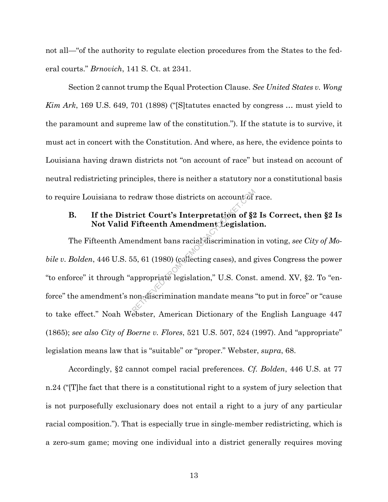not all—"of the authority to regulate election procedures from the States to the federal courts." *Brnovich*, 141 S. Ct. at 2341.

Section 2 cannot trump the Equal Protection Clause. *See United States v. Wong Kim Ark*, 169 U.S. 649, 701 (1898) ("[S]tatutes enacted by congress … must yield to the paramount and supreme law of the constitution."). If the statute is to survive, it must act in concert with the Constitution. And where, as here, the evidence points to Louisiana having drawn districts not "on account of race" but instead on account of neutral redistricting principles, there is neither a statutory nor a constitutional basis to require Louisiana to redraw those districts on account of race.

## **B. If the District Court's Interpretation of §2 Is Correct, then §2 Is Not Valid Fifteenth Amendment Legislation.**

The Fifteenth Amendment bans racial discrimination in voting, *see City of Mobile v. Bolden*, 446 U.S. 55, 61 (1980) (collecting cases), and gives Congress the power "to enforce" it through "appropriate legislation," U.S. Const. amend. XV, §2. To "enforce" the amendment's non-discrimination mandate means "to put in force" or "cause to take effect." Noah Webster, American Dictionary of the English Language 447 (1865); *see also City of Boerne v. Flores*, 521 U.S. 507, 524 (1997). And "appropriate" legislation means law that is "suitable" or "proper." Webster, *supra*, 68. edraw those districts on account of series in the series of Sale of Sale and the Mean Amendment Legislation and the model of Sale and Sale appropriate legislation," U.S. Constrained appropriate legislation," U.S. Constrain

Accordingly, §2 cannot compel racial preferences. *Cf. Bolden*, 446 U.S. at 77 n.24 ("[T]he fact that there is a constitutional right to a system of jury selection that is not purposefully exclusionary does not entail a right to a jury of any particular racial composition."). That is especially true in single-member redistricting, which is a zero-sum game; moving one individual into a district generally requires moving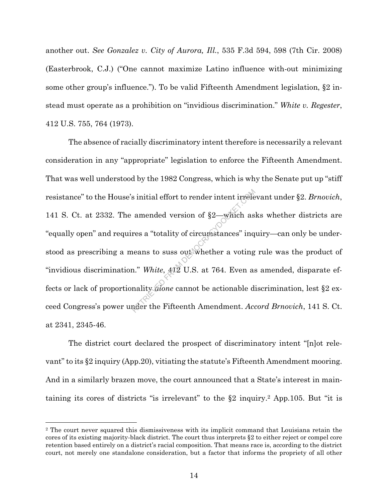another out. *See Gonzalez v. City of Aurora, Ill.*, 535 F.3d 594, 598 (7th Cir. 2008) (Easterbrook, C.J.) ("One cannot maximize Latino influence with-out minimizing some other group's influence."). To be valid Fifteenth Amendment legislation, §2 instead must operate as a prohibition on "invidious discrimination." *White v. Regester*, 412 U.S. 755, 764 (1973).

The absence of racially discriminatory intent therefore is necessarily a relevant consideration in any "appropriate" legislation to enforce the Fifteenth Amendment. That was well understood by the 1982 Congress, which is why the Senate put up "stiff resistance" to the House's initial effort to render intent irrelevant under §2. *Brnovich*, 141 S. Ct. at 2332. The amended version of §2—which asks whether districts are "equally open" and requires a "totality of circumstances" inquiry—can only be understood as prescribing a means to suss out whether a voting rule was the product of "invidious discrimination." *White*, 412 U.S. at 764. Even as amended, disparate effects or lack of proportionality *alone* cannot be actionable discrimination, lest §2 exceed Congress's power under the Fifteenth Amendment. *Accord Brnovich*, 141 S. Ct. at 2341, 2345-46. s initial effort to render intent irrelear<br>amended version of  $\S2$ —which as<br>res a "totality of circumstances" inq<br>neans to suss out whether a voting<br>n." White,  $\angle 4\Omega$  U.S. at 764. Even as<br>nality *done* cannot be actiona

The district court declared the prospect of discriminatory intent "[n]ot relevant" to its §2 inquiry (App.20), vitiating the statute's Fifteenth Amendment mooring. And in a similarly brazen move, the court announced that a State's interest in maintaining its cores of districts "is irrelevant" to the §2 inquiry.2 App.105. But "it is

<sup>&</sup>lt;sup>2</sup> The court never squared this dismissiveness with its implicit command that Louisiana retain the cores of its existing majority-black district. The court thus interprets §2 to either reject or compel core retention based entirely on a district's racial composition. That means race is, according to the district court, not merely one standalone consideration, but a factor that informs the propriety of all other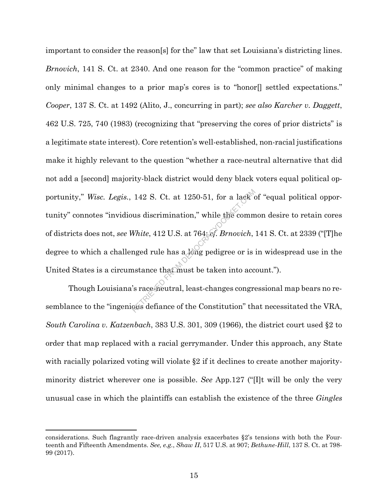important to consider the reason[s] for the" law that set Louisiana's districting lines. *Brnovich*, 141 S. Ct. at 2340. And one reason for the "common practice" of making only minimal changes to a prior map's cores is to "honor[] settled expectations." *Cooper*, 137 S. Ct. at 1492 (Alito, J., concurring in part); *see also Karcher v. Daggett*, 462 U.S. 725, 740 (1983) (recognizing that "preserving the cores of prior districts" is a legitimate state interest). Core retention's well-established, non-racial justifications make it highly relevant to the question "whether a race-neutral alternative that did not add a [second] majority-black district would deny black voters equal political opportunity," *Wisc. Legis.*, 142 S. Ct. at 1250-51, for a lack of "equal political opportunity" connotes "invidious discrimination," while the common desire to retain cores of districts does not, *see White*, 412 U.S. at 764; *cf. Brnovich*, 141 S. Ct. at 2339 ("[T]he degree to which a challenged rule has a long pedigree or is in widespread use in the United States is a circumstance that must be taken into account."). 142 S. Ct. at 1250-51, for a lack  $\alpha$ <br>
ws discrimination," while the comm<br>
White, 412 U.S. at 764; *ef. Brnovich*,<br>
nged rule has a long pedigree or is<br>
astance that must be taken into acc<br>
's race neutral, least-changes

Though Louisiana's race-neutral, least-changes congressional map bears no resemblance to the "ingenious defiance of the Constitution" that necessitated the VRA, *South Carolina v. Katzenbach*, 383 U.S. 301, 309 (1966), the district court used §2 to order that map replaced with a racial gerrymander. Under this approach, any State with racially polarized voting will violate §2 if it declines to create another majorityminority district wherever one is possible. *See* App.127 ("[I]t will be only the very unusual case in which the plaintiffs can establish the existence of the three *Gingles* 

considerations. Such flagrantly race-driven analysis exacerbates §2's tensions with both the Fourteenth and Fifteenth Amendments. *See, e.g.*, *Shaw II*, 517 U.S. at 907; *Bethune-Hill*, 137 S. Ct. at 798- 99 (2017).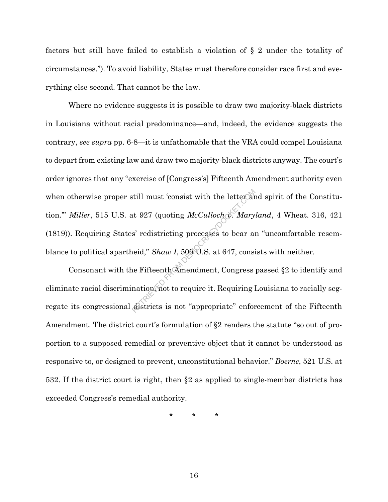factors but still have failed to establish a violation of § 2 under the totality of circumstances."). To avoid liability, States must therefore consider race first and everything else second. That cannot be the law.

Where no evidence suggests it is possible to draw two majority-black districts in Louisiana without racial predominance—and, indeed, the evidence suggests the contrary, *see supra* pp. 6-8—it is unfathomable that the VRA could compel Louisiana to depart from existing law and draw two majority-black districts anyway. The court's order ignores that any "exercise of [Congress's] Fifteenth Amendment authority even when otherwise proper still must 'consist with the letter and spirit of the Constitution.'" *Miller*, 515 U.S. at 927 (quoting *McCulloch v. Maryland*, 4 Wheat. 316, 421 (1819)). Requiring States' redistricting processes to bear an "uncomfortable resemblance to political apartheid," *Shaw I*, 509 U.S. at 647, consists with neither. At 927 (quoting  $McCulloch$   $\alpha$ . Mary<br>
s' redistricting processes to bear an<br>
heid,"  $Shaw I$ , 500  $U.S.$  at 647, consi<br>
he Fifteenth Amendment, Congress<br>
nation, not to require it. Requiring l

Consonant with the Fifteenth Amendment, Congress passed §2 to identify and eliminate racial discrimination, not to require it. Requiring Louisiana to racially segregate its congressional districts is not "appropriate" enforcement of the Fifteenth Amendment. The district court's formulation of §2 renders the statute "so out of proportion to a supposed remedial or preventive object that it cannot be understood as responsive to, or designed to prevent, unconstitutional behavior." *Boerne*, 521 U.S. at 532. If the district court is right, then §2 as applied to single-member districts has exceeded Congress's remedial authority.

\* \* \*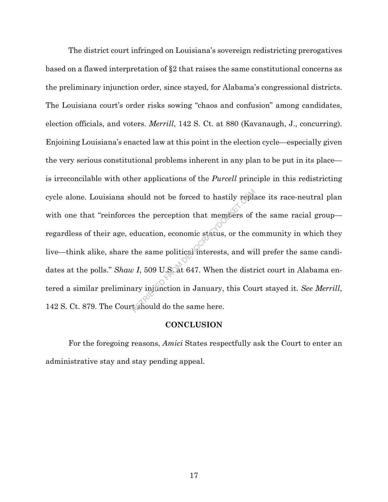The district court infringed on Louisiana's sovereign redistricting prerogatives based on a flawed interpretation of §2 that raises the same constitutional concerns as the preliminary injunction order, since stayed, for Alabama's congressional districts. The Louisiana court's order risks sowing "chaos and confusion" among candidates, election officials, and voters. *Merrill*, 142 S. Ct. at 880 (Kavanaugh, J., concurring). Enjoining Louisiana's enacted law at this point in the election cycle—especially given the very serious constitutional problems inherent in any plan to be put in its place is irreconcilable with other applications of the *Purcell* principle in this redistricting cycle alone. Louisiana should not be forced to hastily replace its race-neutral plan with one that "reinforces the perception that members of the same racial group regardless of their age, education, economic status, or the community in which they live—think alike, share the same political interests, and will prefer the same candidates at the polls." *Shaw I*, 509 U.S. at 647. When the district court in Alabama entered a similar preliminary injunction in January, this Court stayed it. *See Merrill*, 142 S. Ct. 879. The Court should do the same here. Abould not be forced to hastily replated as the perception that members of education, economic status, or the c the same political interests, and with  $\nu I$ , 509 U.S. at 647. When the distrary injunction in January, this

#### **CONCLUSION**

For the foregoing reasons, *Amici* States respectfully ask the Court to enter an administrative stay and stay pending appeal.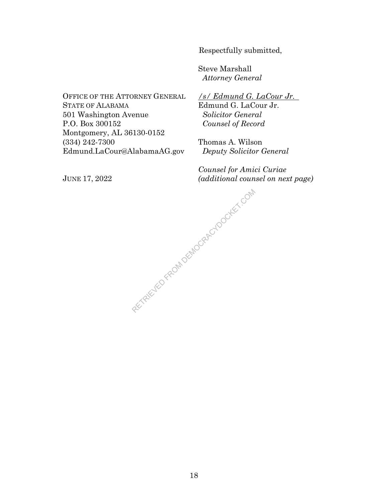Respectfully submitted,

Steve Marshall *Attorney General* 

OFFICE OF THE ATTORNEY GENERAL STATE OF ALABAMA 501 Washington Avenue P.O. Box 300152 Montgomery, AL 36130-0152 (334) 242-7300 Edmund.LaCour@AlabamaAG.gov

*/s/ Edmund G. LaCour Jr.*  Edmund G. LaCour Jr. *Solicitor General Counsel of Record* 

Thomas A. Wilson *Deputy Solicitor General*

*Counsel for Amici Curiae (additional counsel on next page)*

JUNE 17, 2022

RETRIEVED FROM DEMOCRACYDOCKET.COM